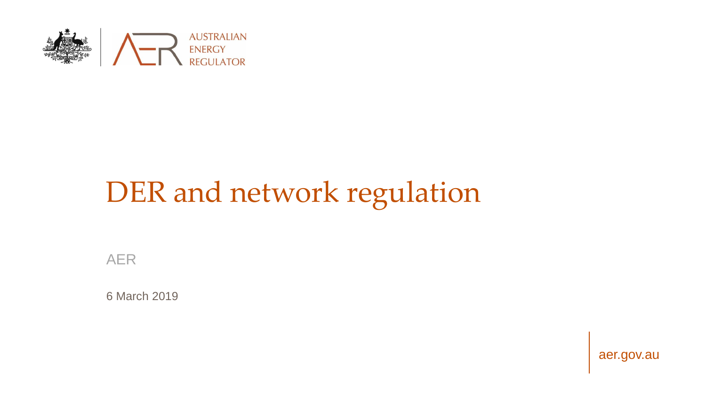

# DER and network regulation

AER

6 March 2019

aer.gov.au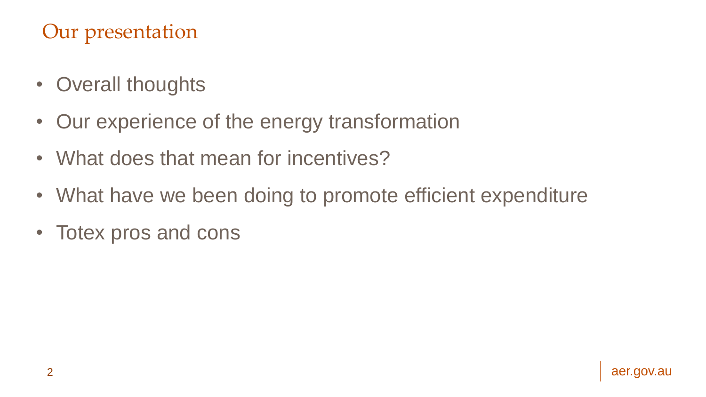## Our presentation

- Overall thoughts
- Our experience of the energy transformation
- What does that mean for incentives?
- What have we been doing to promote efficient expenditure
- Totex pros and cons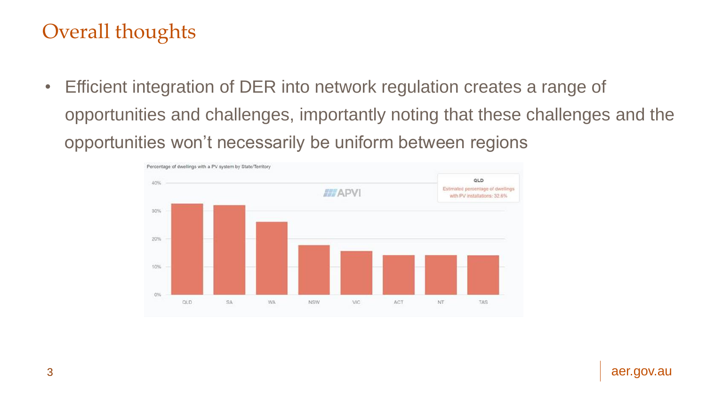## Overall thoughts

• Efficient integration of DER into network regulation creates a range of opportunities and challenges, importantly noting that these challenges and the opportunities won't necessarily be uniform between regions

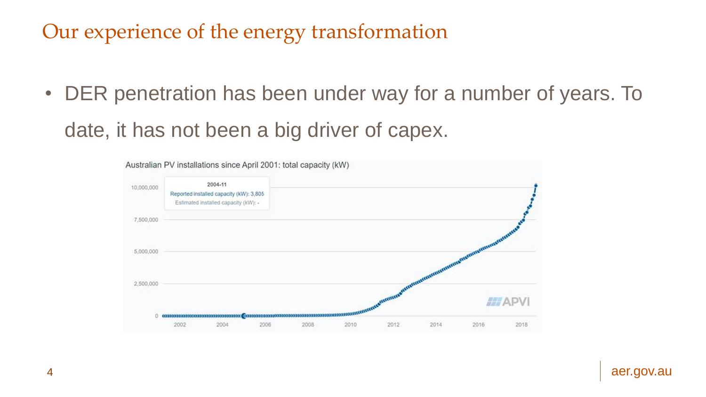## Our experience of the energy transformation

• DER penetration has been under way for a number of years. To date, it has not been a big driver of capex.

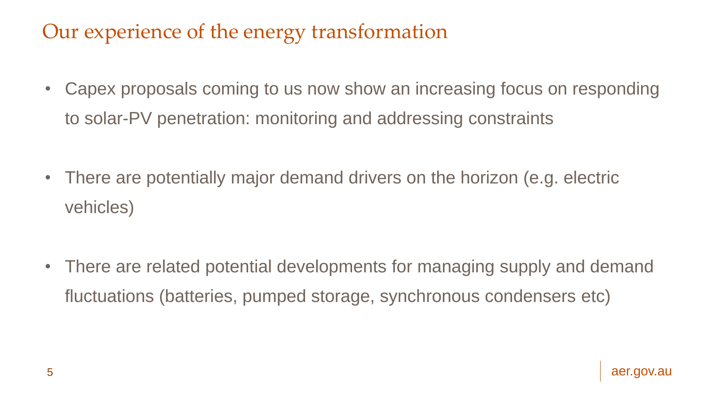## Our experience of the energy transformation

- Capex proposals coming to us now show an increasing focus on responding to solar-PV penetration: monitoring and addressing constraints
- There are potentially major demand drivers on the horizon (e.g. electric vehicles)

• There are related potential developments for managing supply and demand fluctuations (batteries, pumped storage, synchronous condensers etc)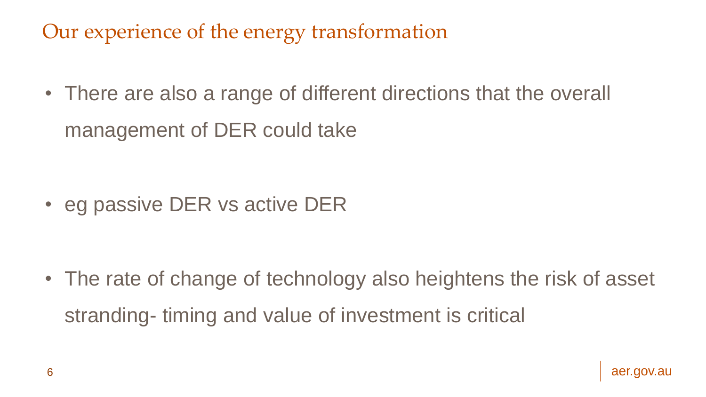Our experience of the energy transformation

• There are also a range of different directions that the overall management of DER could take

• eg passive DER vs active DER

• The rate of change of technology also heightens the risk of asset stranding- timing and value of investment is critical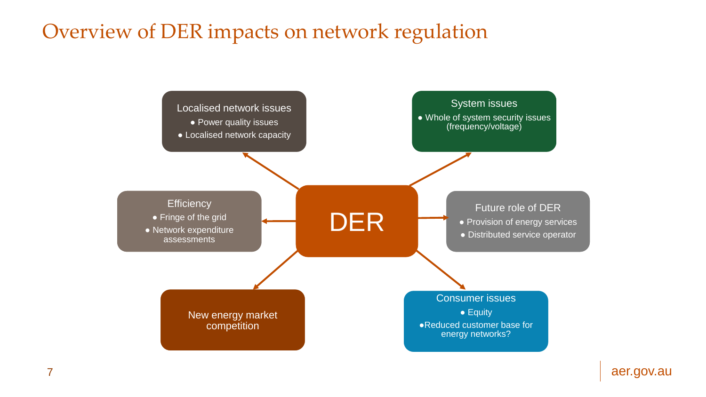#### Overview of DER impacts on network regulation



7 aer.gov.au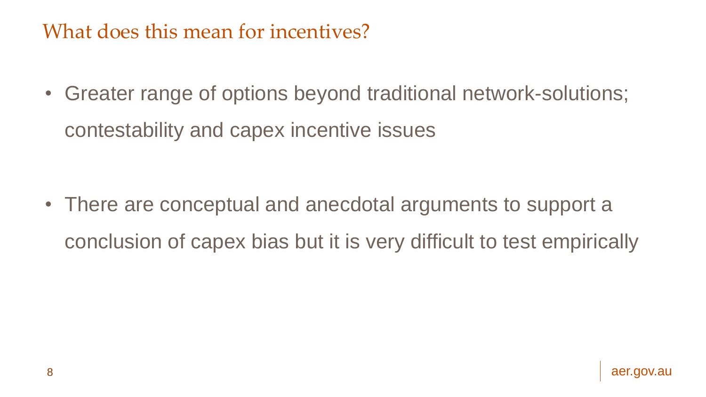## What does this mean for incentives?

• Greater range of options beyond traditional network-solutions; contestability and capex incentive issues

• There are conceptual and anecdotal arguments to support a conclusion of capex bias but it is very difficult to test empirically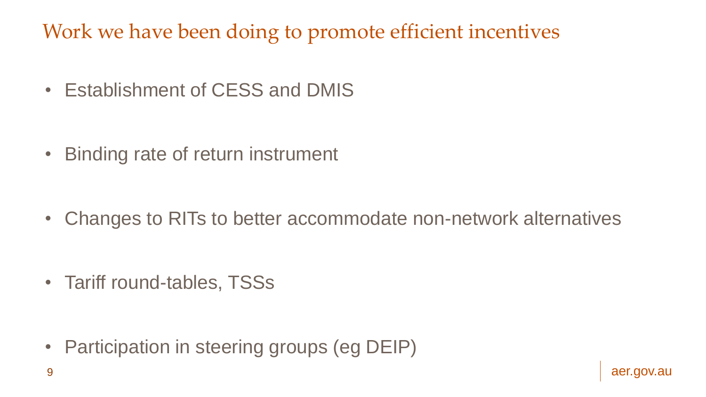Work we have been doing to promote efficient incentives

• Establishment of CESS and DMIS

• Binding rate of return instrument

• Changes to RITs to better accommodate non-network alternatives

• Tariff round-tables, TSSs

• Participation in steering groups (eg DEIP)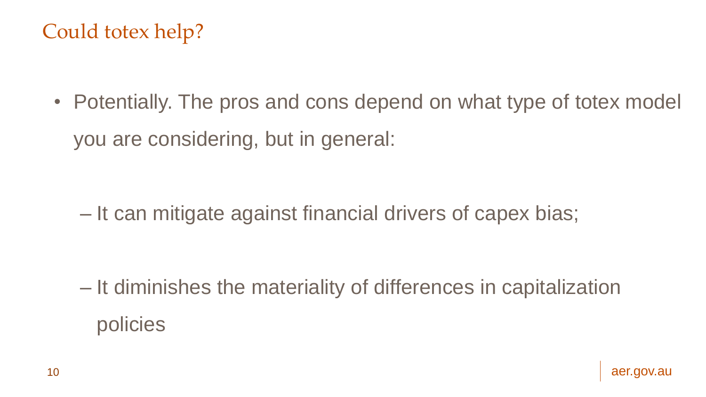## Could totex help?

• Potentially. The pros and cons depend on what type of totex model you are considering, but in general:

– It can mitigate against financial drivers of capex bias;

– It diminishes the materiality of differences in capitalization policies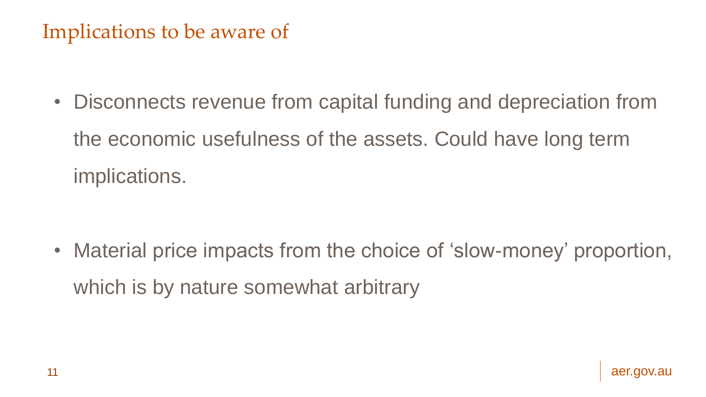## Implications to be aware of

• Disconnects revenue from capital funding and depreciation from the economic usefulness of the assets. Could have long term implications.

• Material price impacts from the choice of 'slow-money' proportion, which is by nature somewhat arbitrary